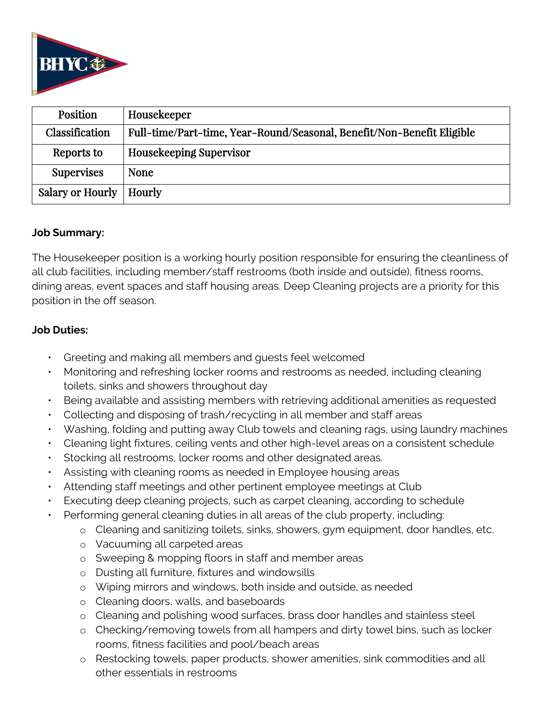

| <b>Position</b>         | Housekeeper                                                            |
|-------------------------|------------------------------------------------------------------------|
| Classification          | Full-time/Part-time, Year-Round/Seasonal, Benefit/Non-Benefit Eligible |
| Reports to              | <b>Housekeeping Supervisor</b>                                         |
| <b>Supervises</b>       | <b>None</b>                                                            |
| <b>Salary or Hourly</b> | Hourly                                                                 |

## **Job Summary:**

The Housekeeper position is a working hourly position responsible for ensuring the cleanliness of all club facilities, including member/staff restrooms (both inside and outside), fitness rooms, dining areas, event spaces and staff housing areas. Deep Cleaning projects are a priority for this position in the off season.

# **Job Duties:**

- Greeting and making all members and guests feel welcomed
- Monitoring and refreshing locker rooms and restrooms as needed, including cleaning toilets, sinks and showers throughout day
- Being available and assisting members with retrieving additional amenities as requested
- Collecting and disposing of trash/recycling in all member and staff areas
- Washing, folding and putting away Club towels and cleaning rags, using laundry machines
- Cleaning light fixtures, ceiling vents and other high-level areas on a consistent schedule
- Stocking all restrooms, locker rooms and other designated areas.
- Assisting with cleaning rooms as needed in Employee housing areas
- Attending staff meetings and other pertinent employee meetings at Club
- Executing deep cleaning projects, such as carpet cleaning, according to schedule
- Performing general cleaning duties in all areas of the club property, including:
	- o Cleaning and sanitizing toilets, sinks, showers, gym equipment, door handles, etc.
	- o Vacuuming all carpeted areas
	- o Sweeping & mopping floors in staff and member areas
	- o Dusting all furniture, fixtures and windowsills
	- o Wiping mirrors and windows, both inside and outside, as needed
	- o Cleaning doors, walls, and baseboards
	- o Cleaning and polishing wood surfaces, brass door handles and stainless steel
	- o Checking/removing towels from all hampers and dirty towel bins, such as locker rooms, fitness facilities and pool/beach areas
	- o Restocking towels, paper products, shower amenities, sink commodities and all other essentials in restrooms